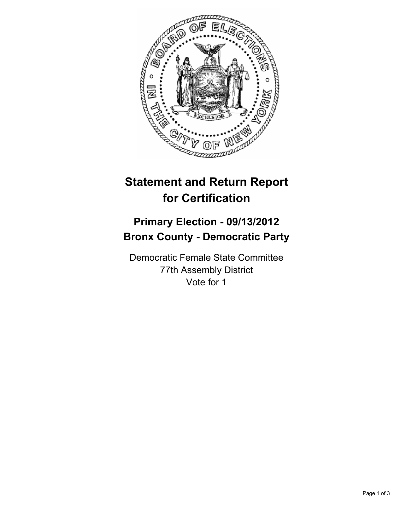

## **Statement and Return Report for Certification**

## **Primary Election - 09/13/2012 Bronx County - Democratic Party**

Democratic Female State Committee 77th Assembly District Vote for 1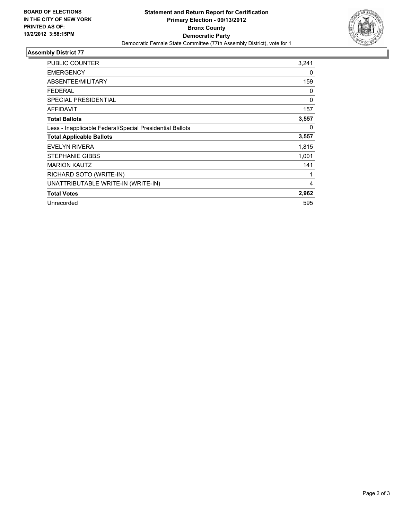

## **Assembly District 77**

| <b>PUBLIC COUNTER</b>                                    | 3,241    |
|----------------------------------------------------------|----------|
| <b>EMERGENCY</b>                                         | 0        |
| ABSENTEE/MILITARY                                        | 159      |
| FEDERAL                                                  | 0        |
| <b>SPECIAL PRESIDENTIAL</b>                              | $\Omega$ |
| <b>AFFIDAVIT</b>                                         | 157      |
| <b>Total Ballots</b>                                     | 3,557    |
| Less - Inapplicable Federal/Special Presidential Ballots | 0        |
| <b>Total Applicable Ballots</b>                          | 3,557    |
| <b>EVELYN RIVERA</b>                                     | 1,815    |
| <b>STEPHANIE GIBBS</b>                                   | 1,001    |
| <b>MARION KAUTZ</b>                                      | 141      |
| RICHARD SOTO (WRITE-IN)                                  | 1        |
| UNATTRIBUTABLE WRITE-IN (WRITE-IN)                       | 4        |
| <b>Total Votes</b>                                       | 2,962    |
| Unrecorded                                               | 595      |